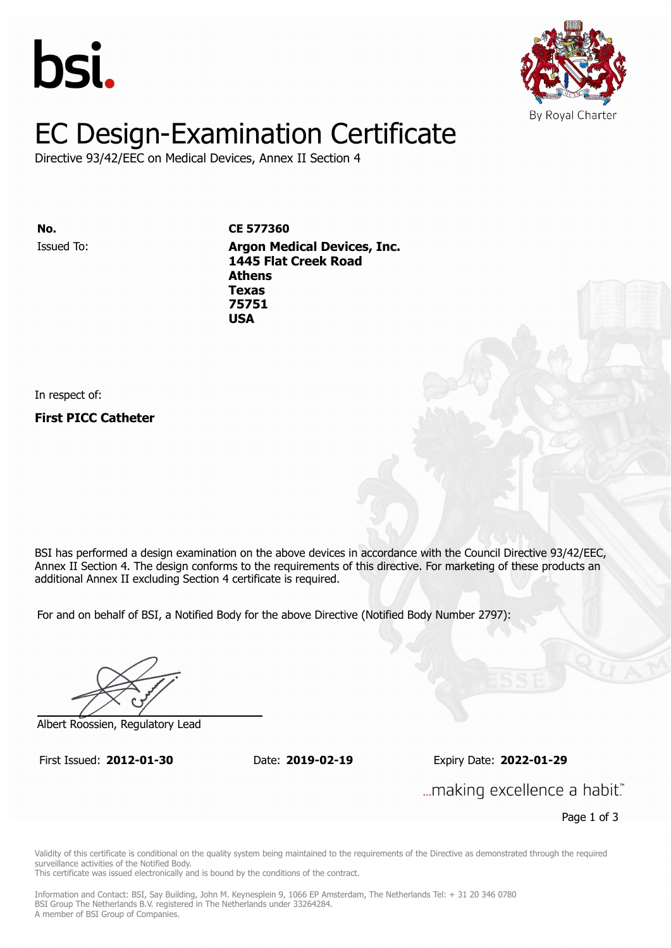



# EC Design-Examination Certificate

Directive 93/42/EEC on Medical Devices, Annex II Section 4

Issued To: **Argon Medical Devices, Inc. No. CE 577360 11566** Flat Creek Road **Athens** Issued To: **Argon Medical Devices, Inc. Texas 1445 Flat Creek Road 75751 Athens Texas 75751 USA**

In respect of:

**First PICC Catheter**

BSI has performed a design examination on the above devices in accordance with the Council Directive 93/42/EEC, Annex II Section 4. The design conforms to the requirements of this directive. For marketing of these products an additional Annex II excluding Section 4 certificate is required.

For and on behalf of BSI, a Notified Body for the above Directive (Notified Body Number 2797):

Albert Roossien, Regulatory Lead

First Issued: **2012-01-30** Date: **2019-02-19** Expiry Date: **2022-01-29** First Issued: **2012-01-30** Date: **2019-02-19** Expiry Date: **2022-01-29**

... making excellence a habit."

Page 1 of 3

Validity of this certificate is conditional on the quality system being maintained to the requirements of the Directive as demonstrated through the required surveillance activities of the Notified Body.

This certificate was issued electronically and is bound by the conditions of the contract.

Information and Contact: BSI, Say Building, John M. Keynesplein 9, 1066 EP Amsterdam, The Netherlands Tel: + 31 20 346 0780 BSI Group The Netherlands B.V. registered in The Netherlands under 33264284. A member of BSI Group of Companies.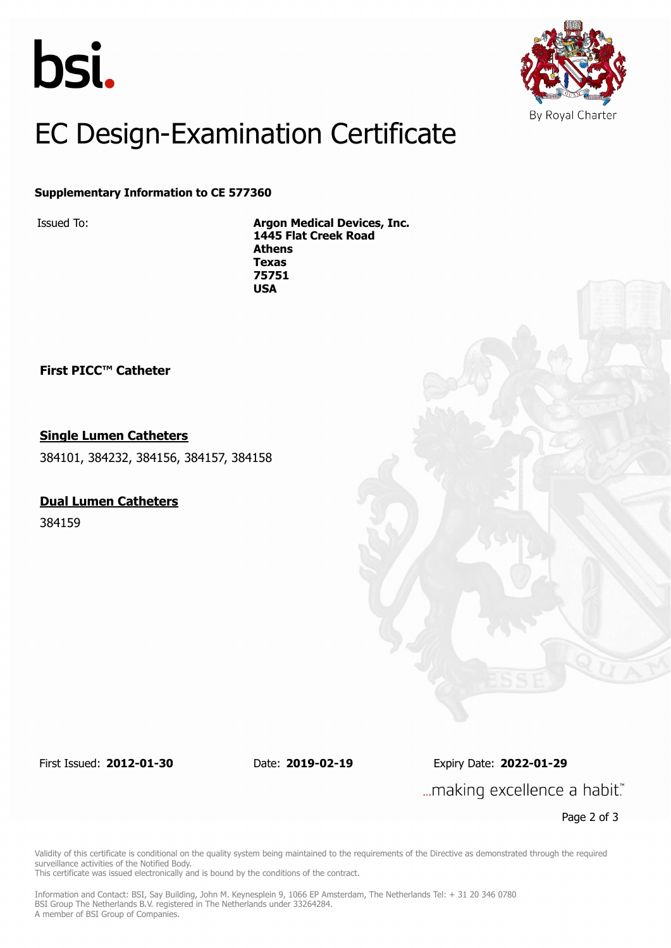



## EC Design-Examination Certificate

#### **Supplementary Information to CE 577360**

Issued To: **Argon Medical Devices, Inc. 1445 Flat Creek Road Athens Texas 75751 USA**

**First PICC™ Catheter**

#### **Single Lumen Catheters**

384101, 384232, 384156, 384157, 384158

#### **Dual Lumen Catheters**

384159

First Issued: **2012-01-30** Date: **2019-02-19** Expiry Date: **2022-01-29**

... making excellence a habit."

Page 2 of 3

Validity of this certificate is conditional on the quality system being maintained to the requirements of the Directive as demonstrated through the required surveillance activities of the Notified Body.

This certificate was issued electronically and is bound by the conditions of the contract.

Information and Contact: BSI, Say Building, John M. Keynesplein 9, 1066 EP Amsterdam, The Netherlands Tel: + 31 20 346 0780 BSI Group The Netherlands B.V. registered in The Netherlands under 33264284. A member of BSI Group of Companies.